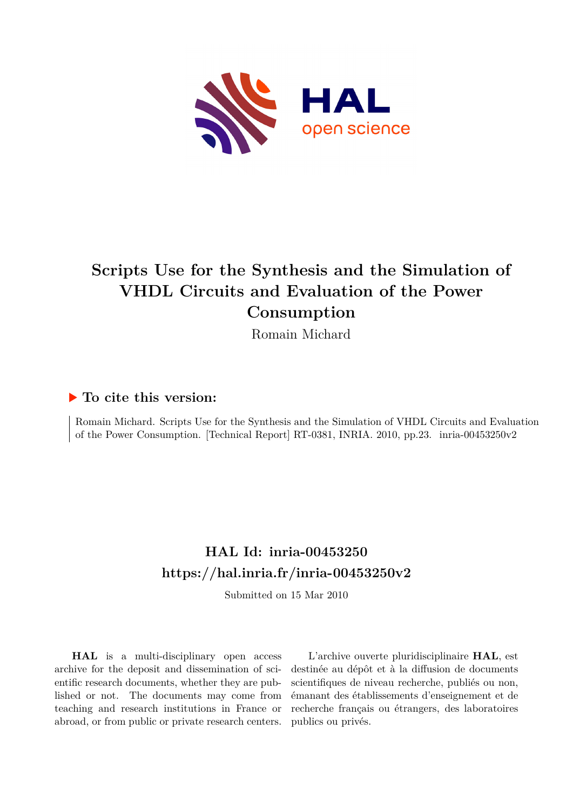

# **Scripts Use for the Synthesis and the Simulation of VHDL Circuits and Evaluation of the Power Consumption**

Romain Michard

## **To cite this version:**

Romain Michard. Scripts Use for the Synthesis and the Simulation of VHDL Circuits and Evaluation of the Power Consumption. [Technical Report] RT-0381, INRIA. 2010, pp.23. inria-00453250v2

# **HAL Id: inria-00453250 <https://hal.inria.fr/inria-00453250v2>**

Submitted on 15 Mar 2010

**HAL** is a multi-disciplinary open access archive for the deposit and dissemination of scientific research documents, whether they are published or not. The documents may come from teaching and research institutions in France or abroad, or from public or private research centers.

L'archive ouverte pluridisciplinaire **HAL**, est destinée au dépôt et à la diffusion de documents scientifiques de niveau recherche, publiés ou non, émanant des établissements d'enseignement et de recherche français ou étrangers, des laboratoires publics ou privés.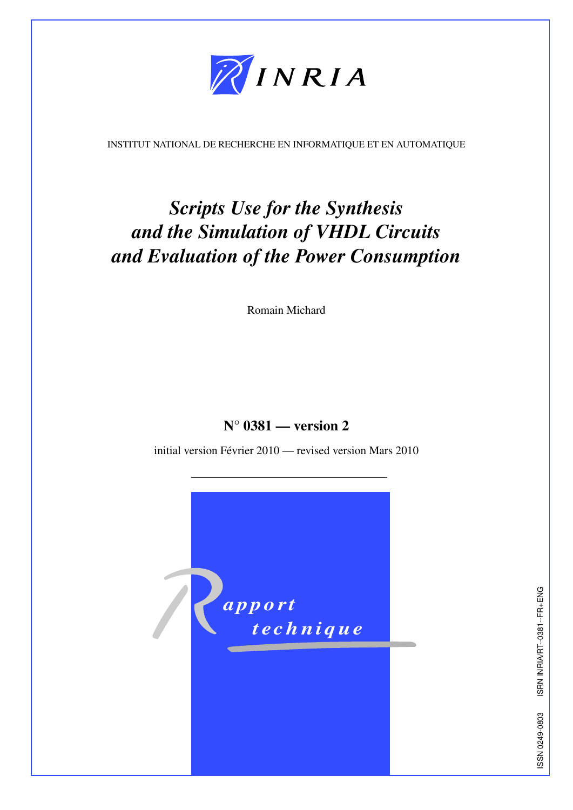

INSTITUT NATIONAL DE RECHERCHE EN INFORMATIQUE ET EN AUTOMATIQUE

# *Scripts Use for the Synthesis and the Simulation of VHDL Circuits and Evaluation of the Power Consumption*

Romain Michard

# N° 0381 — version 2

initial version Février 2010 — revised version Mars 2010

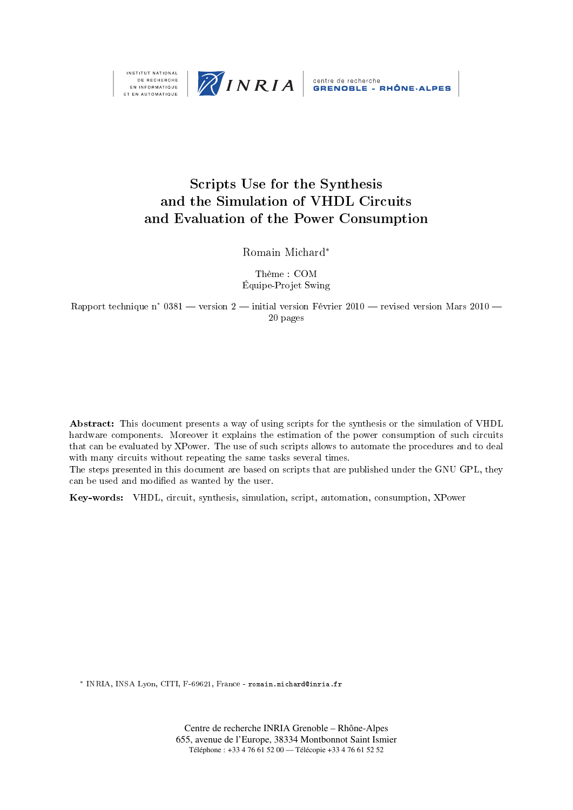



# Scripts Use for the Synthesis and the Simulation of VHDL Circuits and Evaluation of the Power Consumption

### Romain Michard<sup>∗</sup>

Thème : COM Équipe-Projet Swing

Rapport technique n° 0381 — version  $2 -$  initial version Février  $2010 -$  revised version Mars  $2010 -$ 20 pages

Abstract: This document presents a way of using scripts for the synthesis or the simulation of VHDL hardware components. Moreover it explains the estimation of the power consumption of such circuits that can be evaluated by XPower. The use of such scripts allows to automate the procedures and to deal with many circuits without repeating the same tasks several times.

The steps presented in this document are based on scripts that are published under the GNU GPL, they can be used and modified as wanted by the user.

Key-words: VHDL, circuit, synthesis, simulation, script, automation, consumption, XPower

<sup>∗</sup> INRIA, INSA Lyon, CITI, F-69621, France - romain.michard@inria.fr

Centre de recherche INRIA Grenoble – Rhône-Alpes 655, avenue de l'Europe, 38334 Montbonnot Saint Ismier Téléphone : +33 4 76 61 52 00 — Télécopie +33 4 76 61 52 52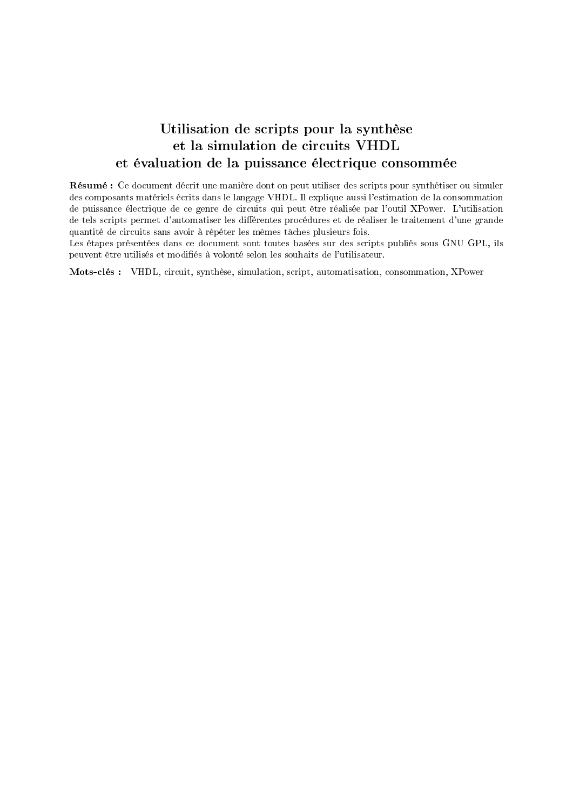# Utilisation de scripts pour la synthèse et la simulation de circuits VHDL et évaluation de la puissance électrique consommée

Résumé : Ce document décrit une manière dont on peut utiliser des scripts pour synthétiser ou simuler des composants matériels écrits dans le langage VHDL. Il explique aussi l'estimation de la consommation de puissance électrique de ce genre de circuits qui peut être réalisée par l'outil XPower. L'utilisation de tels scripts permet d'automatiser les diérentes procédures et de réaliser le traitement d'une grande quantité de circuits sans avoir à répéter les mêmes tâches plusieurs fois.

Les étapes présentées dans ce document sont toutes basées sur des scripts publiés sous GNU GPL, ils peuvent être utilisés et modiés à volonté selon les souhaits de l'utilisateur.

Mots-clés : VHDL, circuit, synthèse, simulation, script, automatisation, consommation, XPower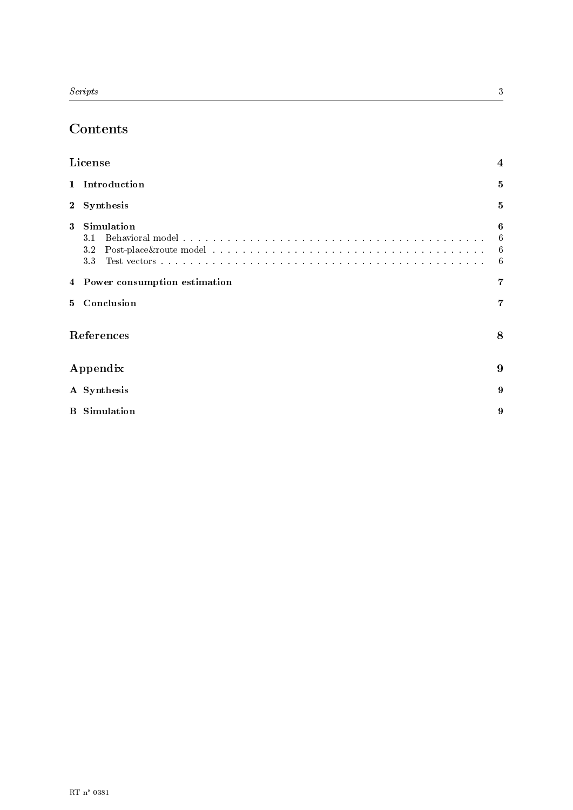# Contents

| License        |                                | 4                 |
|----------------|--------------------------------|-------------------|
|                | 1 Introduction                 | 5                 |
| $\overline{2}$ | <b>Synthesis</b>               | 5                 |
| 3              | Simulation<br>3.1<br>3.2<br>33 | 6<br>-6<br>6<br>6 |
|                | 4 Power consumption estimation | 7                 |
| 5              | Conclusion                     | 7                 |
|                | References                     | 8                 |
|                | Appendix                       | 9                 |
|                | A Synthesis                    | 9                 |
|                | <b>B</b> Simulation            | 9                 |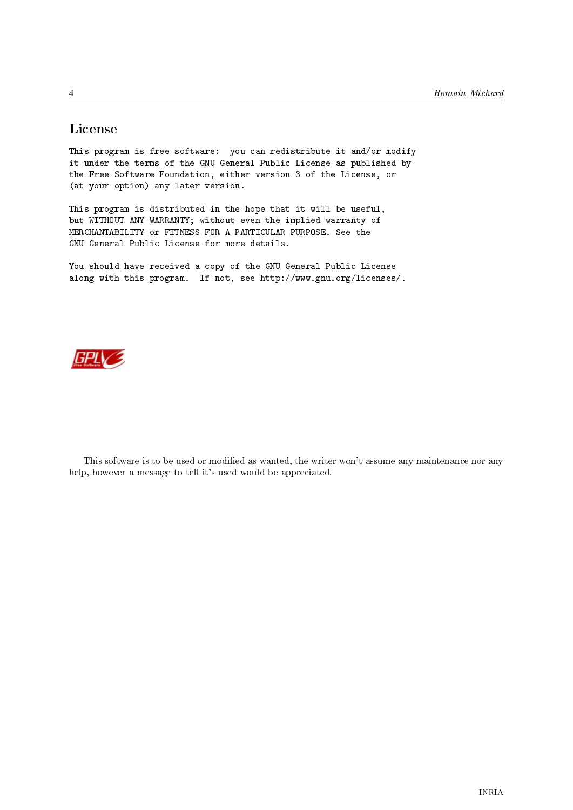### License

This program is free software: you can redistribute it and/or modify it under the terms of the GNU General Public License as published by the Free Software Foundation, either version 3 of the License, or (at your option) any later version.

This program is distributed in the hope that it will be useful, but WITHOUT ANY WARRANTY; without even the implied warranty of MERCHANTABILITY or FITNESS FOR A PARTICULAR PURPOSE. See the GNU General Public License for more details.

You should have received a copy of the GNU General Public License along with this program. If not, see http://www.gnu.org/licenses/.



This software is to be used or modified as wanted, the writer won't assume any maintenance nor any help, however a message to tell it's used would be appreciated.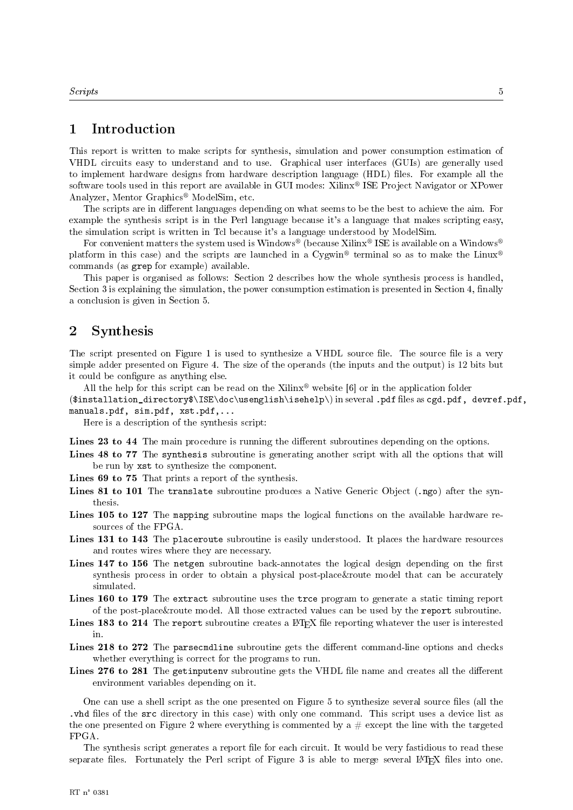### 1 Introduction

This report is written to make scripts for synthesis, simulation and power consumption estimation of VHDL circuits easy to understand and to use. Graphical user interfaces (GUIs) are generally used to implement hardware designs from hardware description language (HDL) files. For example all the software tools used in this report are available in GUI modes: Xilinx<sup>®</sup> ISE Project Navigator or XPower Analyzer, Mentor Graphics<sup>®</sup> ModelSim, etc.

The scripts are in different languages depending on what seems to be the best to achieve the aim. For example the synthesis script is in the Perl language because it's a language that makes scripting easy, the simulation script is written in Tcl because it's a language understood by ModelSim.

For convenient matters the system used is Windows® (because Xilinx® ISE is available on a Windows® platform in this case) and the scripts are launched in a Cygwin<sup>®</sup> terminal so as to make the Linux<sup>®</sup> commands (as grep for example) available.

This paper is organised as follows: Section 2 describes how the whole synthesis process is handled, Section 3 is explaining the simulation, the power consumption estimation is presented in Section 4, finally a conclusion is given in Section 5.

### 2 Synthesis

The script presented on Figure 1 is used to synthesize a VHDL source file. The source file is a very simple adder presented on Figure 4. The size of the operands (the inputs and the output) is 12 bits but it could be configure as anything else.

All the help for this script can be read on the Xilinx<sup>®</sup> website  $[6]$  or in the application folder  $(\frac{\frac{\delta}{\delta}}{\delta})$  (\$installation\_directory\$\ISE\doc\usenglish\isehelp\) in several .pdf files as cgd.pdf, devref.pdf,

manuals.pdf, sim.pdf, xst.pdf,...

Here is a description of the synthesis script:

Lines 23 to 44 The main procedure is running the different subroutines depending on the options.

- Lines 48 to 77 The synthesis subroutine is generating another script with all the options that will be run by xst to synthesize the component.
- Lines 69 to 75 That prints a report of the synthesis.
- Lines 81 to 101 The translate subroutine produces a Native Generic Object (.ngo) after the synthesis.
- Lines 105 to 127 The mapping subroutine maps the logical functions on the available hardware resources of the FPGA.
- Lines 131 to 143 The placeroute subroutine is easily understood. It places the hardware resources and routes wires where they are necessary.
- Lines  $147$  to  $156$  The netgen subroutine back-annotates the logical design depending on the first synthesis process in order to obtain a physical post-place&route model that can be accurately simulated.
- Lines 160 to 179 The extract subroutine uses the tree program to generate a static timing report of the post-place&route model. All those extracted values can be used by the report subroutine.
- Lines 183 to 214 The report subroutine creates a  $\mathbb{P}\mathrm{Tr}X$  file reporting whatever the user is interested in.
- Lines 218 to 272 The parsecmdline subroutine gets the different command-line options and checks whether everything is correct for the programs to run.
- Lines 276 to 281 The getinputenv subroutine gets the VHDL file name and creates all the different environment variables depending on it.

One can use a shell script as the one presented on Figure 5 to synthesize several source files (all the . vhd files of the src directory in this case) with only one command. This script uses a device list as the one presented on Figure 2 where everything is commented by a  $\#$  except the line with the targeted FPGA.

The synthesis script generates a report file for each circuit. It would be very fastidious to read these separate files. Fortunately the Perl script of Figure 3 is able to merge several LATEX files into one.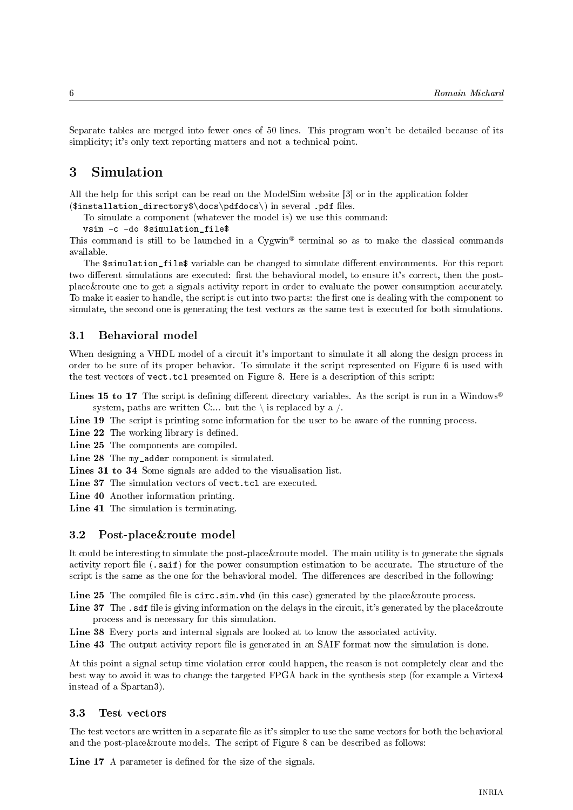Separate tables are merged into fewer ones of 50 lines. This program won't be detailed because of its simplicity; it's only text reporting matters and not a technical point.

### 3 Simulation

All the help for this script can be read on the ModelSim website [3] or in the application folder  $($installation\textrm{`does}\dots\)$  in several .pdf files.

To simulate a component (whatever the model is) we use this command:

vsim -c -do \$simulation\_file\$

This command is still to be launched in a  $Cygwin^@$  terminal so as to make the classical commands available.

The \$simulation\_file\$ variable can be changed to simulate different environments. For this report two different simulations are executed: first the behavioral model, to ensure it's correct, then the postplace&route one to get a signals activity report in order to evaluate the power consumption accurately. To make it easier to handle, the script is cut into two parts: the first one is dealing with the component to simulate, the second one is generating the test vectors as the same test is executed for both simulations.

#### 3.1 Behavioral model

When designing a VHDL model of a circuit it's important to simulate it all along the design process in order to be sure of its proper behavior. To simulate it the script represented on Figure 6 is used with the test vectors of vect.tcl presented on Figure 8. Here is a description of this script:

**Lines 15 to 17** The script is defining different directory variables. As the script is run in a Windows<sup>®</sup> system, paths are written C:... but the  $\langle$  is replaced by a  $\rangle$ .

Line 19 The script is printing some information for the user to be aware of the running process.

Line 22 The working library is defined.

Line 25 The components are compiled.

Line 28 The my\_adder component is simulated.

Lines 31 to 34 Some signals are added to the visualisation list.

Line 37 The simulation vectors of vect.tcl are executed.

Line 40 Another information printing.

Line 41 The simulation is terminating.

#### 3.2 Post-place&route model

It could be interesting to simulate the post-place&route model. The main utility is to generate the signals activity report file (.saif) for the power consumption estimation to be accurate. The structure of the script is the same as the one for the behavioral model. The differences are described in the following:

Line 25 The compiled file is circ.sim.vhd (in this case) generated by the place&route process.

Line 37 The . sdf file is giving information on the delays in the circuit, it's generated by the place&route process and is necessary for this simulation.

Line 38 Every ports and internal signals are looked at to know the associated activity.

Line 43 The output activity report file is generated in an SAIF format now the simulation is done.

At this point a signal setup time violation error could happen, the reason is not completely clear and the best way to avoid it was to change the targeted FPGA back in the synthesis step (for example a Virtex4 instead of a Spartan3).

#### 3.3 Test vectors

The test vectors are written in a separate file as it's simpler to use the same vectors for both the behavioral and the post-place&route models. The script of Figure 8 can be described as follows:

Line 17 A parameter is defined for the size of the signals.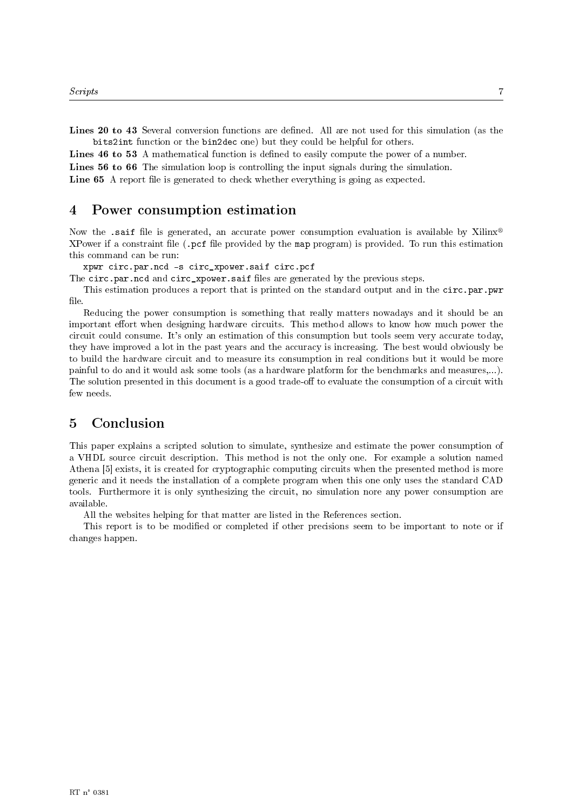Lines 20 to 43 Several conversion functions are defined. All are not used for this simulation (as the bits2int function or the bin2dec one) but they could be helpful for others.

Lines 46 to 53 A mathematical function is defined to easily compute the power of a number.

Lines 56 to 66 The simulation loop is controlling the input signals during the simulation.

Line 65 A report file is generated to check whether everything is going as expected.

### 4 Power consumption estimation

Now the saif file is generated, an accurate power consumption evaluation is available by Xilinx<sup>®</sup> XPower if a constraint file  $( .pcf$  file provided by the map program) is provided. To run this estimation this command can be run:

xpwr circ.par.ncd -s circ\_xpower.saif circ.pcf

The circ.par.ncd and circ\_xpower.saif files are generated by the previous steps.

This estimation produces a report that is printed on the standard output and in the circ.par.pwr file.

Reducing the power consumption is something that really matters nowadays and it should be an important effort when designing hardware circuits. This method allows to know how much power the circuit could consume. It's only an estimation of this consumption but tools seem very accurate today, they have improved a lot in the past years and the accuracy is increasing. The best would obviously be to build the hardware circuit and to measure its consumption in real conditions but it would be more painful to do and it would ask some tools (as a hardware platform for the benchmarks and measures,...). The solution presented in this document is a good trade-off to evaluate the consumption of a circuit with few needs.

### 5 Conclusion

This paper explains a scripted solution to simulate, synthesize and estimate the power consumption of a VHDL source circuit description. This method is not the only one. For example a solution named Athena [5] exists, it is created for cryptographic computing circuits when the presented method is more generic and it needs the installation of a complete program when this one only uses the standard CAD tools. Furthermore it is only synthesizing the circuit, no simulation nore any power consumption are available.

All the websites helping for that matter are listed in the References section.

This report is to be modified or completed if other precisions seem to be important to note or if changes happen.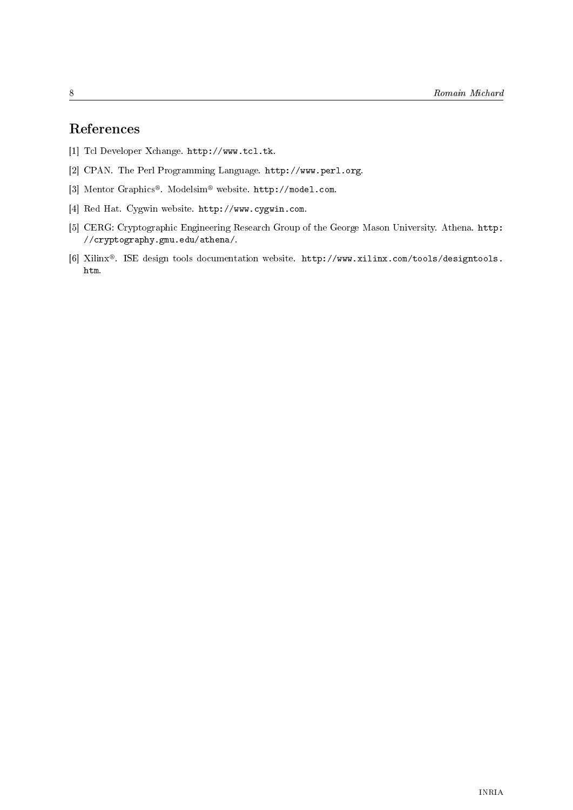## References

- [1] Tcl Developer Xchange. http://www.tcl.tk.
- [2] CPAN. The Perl Programming Language. http://www.perl.org.
- [3] Mentor Graphics®. Modelsim® website. http://model.com.
- [4] Red Hat. Cygwin website. http://www.cygwin.com.
- [5] CERG: Cryptographic Engineering Research Group of the George Mason University. Athena. http: //cryptography.gmu.edu/athena/.
- [6] Xilinx®. ISE design tools documentation website. http://www.xilinx.com/tools/designtools. htm.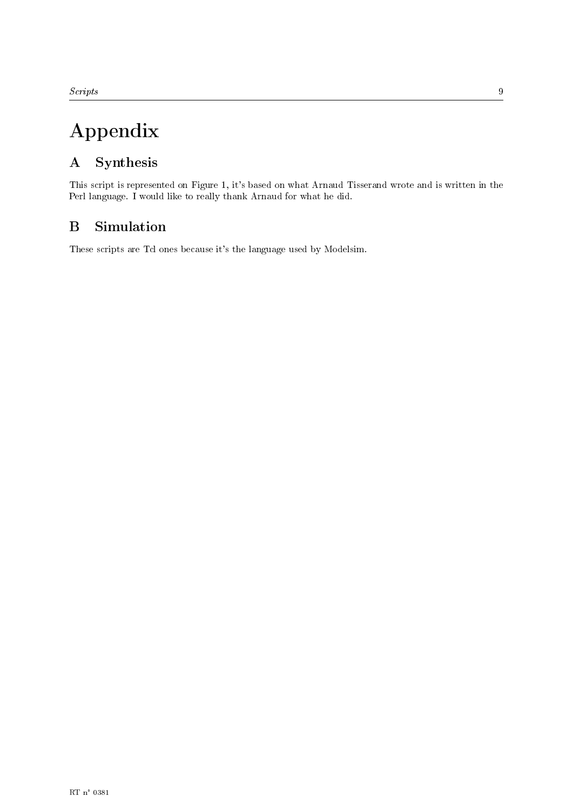# Appendix

# A Synthesis

This script is represented on Figure 1, it's based on what Arnaud Tisserand wrote and is written in the Perl language. I would like to really thank Arnaud for what he did.

# B Simulation

These scripts are Tcl ones because it's the language used by Modelsim.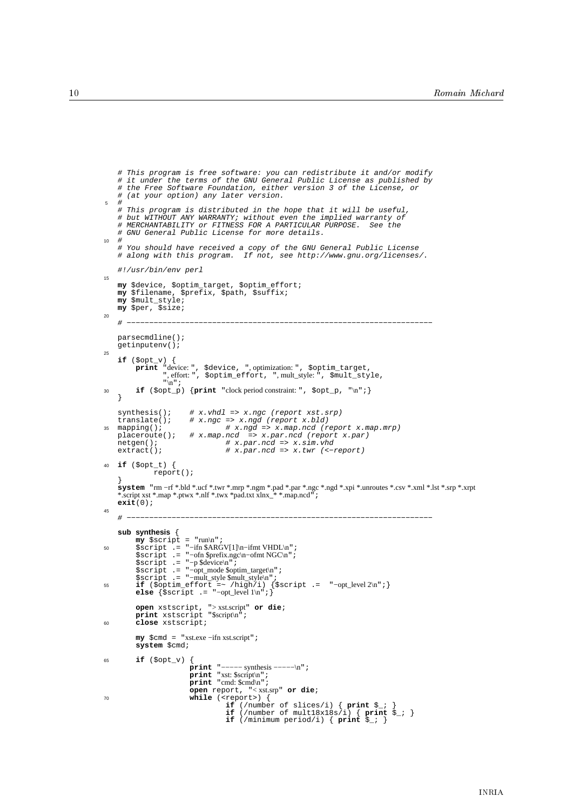```
# This program is free software: you can redistribute it and/or modify
     # it under the terms of the GNU General Public License as published by
     # the Free Software Foundation, either version 3 of the License, or
# (at your option) any later version.
5 #
# This program is distributed in the hope that it will be useful,
# but WITHOUT ANY WARRANTY; without even the implied warranty of
     # MERCHANTABILITY or FITNESS FOR A PARTICULAR PURPOSE. See the
# GNU General Public License for more details.
     \frac{1}{H}# You should have received a copy of the GNU General Public License
     # along with this program. If not, see http://www.gnu.org/licenses/.
    #!/usr/bin/env perl
15
     my $device, $optim_target, $optim_effort;
my $filename, $prefix, $path, $suffix; 
my $mult_style;
    my $per, $size;
20# −−−−−−−−−−−−−−−−−−−−−−−−−−−−−−−−−−−−−−−−−−−−−−−−−−−−−−−−−−−−−−−−−−−−
    parsecmdline();
    getinputenv();
25if ($opt_v) {<br>
print "device:", $device, ",optimization:", $optim_target,<br>
",effort:", $optim_effort, ",mult_style:", $mult_style,<br>
"\n";
30 if ($opt_p) {print "clock period constraint: ", $opt_p, "\n";}
    }
     synthesis(); \# x.vhd1 => x.ngc (report xst.srp)<br>translate(); \# x.ngc => x.ngd (report x.bld)translate(); # x.ngc => x.ngd (report x.bld)<br>35 mapping(); # x.ngc => x.map.ncd (report x.map.mrp)<br>placeroute(); # x.map.ncd => x.par.ncd (report x.par)
     netgen(); # x.par.ncd => x.sim.vhd
extract(); # x.par.ncd => x.twr (<−report)
40 if ($opt_t) {
                report();
     }<br>system "rm −rf *.bld *.ucf *.twr *.mrp *.ngm *.pad *.par *.ngc *.ngd *.xpi *.unroutes *.csv *.xml *.lst *.srp *.xrpt<br>*.script xst *.map *.ptwx *.nlf *.twx *pad.txt xlnx_* *.map.ncd" ;
    exit(0);
45
     # −−−−−−−−−−−−−−−−−−−−−−−−−−−−−−−−−−−−−−−−−−−−−−−−−−−−−−−−−−−−−−−−−−−−
    sub synthesis {
            my $script = "run\n";
50 $script .= "−ifn $ARGV[1]\n−ifmt VHDL\n";
 $script .= "−ofn $prefix.ngc\n−ofmt NGC\n";
 $script .= "−p $device\n";
      $script .= "−opt_mode $optim_target\n";
 $script .= "−mult_style $mult_style\n";
55 if ($optim_effort =~ /high/i) {$script .= "−opt_level 2\n";}
 else {$script .= "−opt_level 1\n";}
      open xstscript, "> xst.script" or die;
 print xstscript "$script\n";
60 close xstscript;
            my $cmd = "xst.exe −ifn xst.script";
            system $cmd;
65 if (\text{Sopt}_V) {<br>print "--
                                               print "−−−−− synthesis −−−−−\n";
                              print "xst: $script\n";
                              print "cmd: $cmd\n";
open report, "<xst.srp" or die;<br>while (<report>) {<br>if (/number of slices/i) { print $_; }<br>if (/number of mult18x18s/i) { print $_; }<br>if (/minimum period/i) { print $_; }
```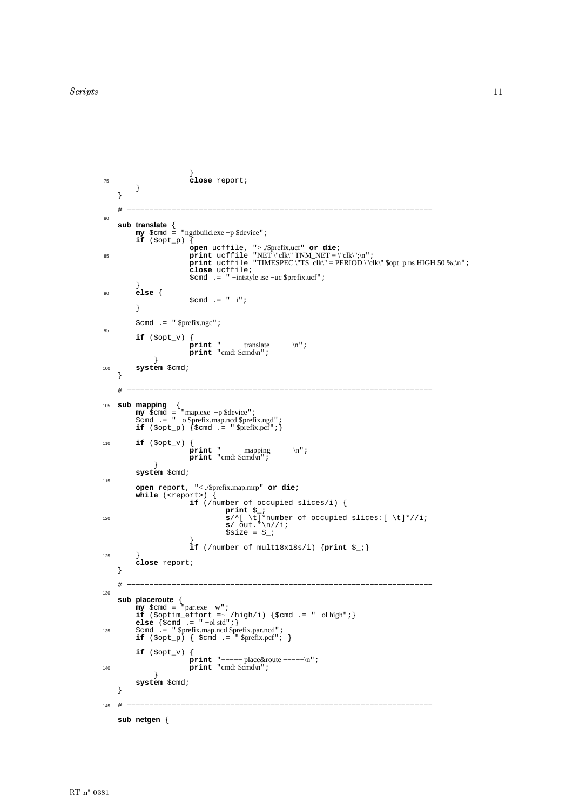```
}
75 close report;
             }
     }
      # −−−−−−−−−−−−−−−−−−−−−−−−−−−−−−−−−−−−−−−−−−−−−−−−−−−−−−−−−−−−−−−−−−−−
80
      sub translate {
                            mgdbuild.exe -p $device";
       if ($opt_p) {
 open ucffile, "> ./$prefix.ucf" or die;<br>
print ucffile "NET\"clk\"TNM_NET=\"clk\";\n";<br>
print ucffile "TIMESPEC\"TS_clk\"=PERIOD\"clk\"$opt_p ns HIGH 50%;\n";<br>
close ucffile;
                                $cmd .= " −intstyle ise −uc $prefix.ucf";
       }
90 else {
                                $cmd .= " −i";
             }
             $cmd .= " $prefix.ngc";
95
             if ($opt_v) {
                                print "−−−−− translate −−−−−\n";<br>print "cmd: $cmd\n";
}
100 system $cmd;
     }
      # −−−−−−−−−−−−−−−−−−−−−−−−−−−−−−−−−−−−−−−−−−−−−−−−−−−−−−−−−−−−−−−−−−−−
us sub mapping {<br>
my $cmd = "map.exe −p $device";<br>
$cmd .= "-o $prefix.map.ncd $prefix.ngd";<br>
if ($opt_p) {$cmd .= "$prefix.pcf";}
110 if ($opt_v) {
                                print "−−−−− mapping −−−−−\n";<br>print "cmd: $cmd\n";
                   }
             system $cmd;
115
             open report, "< ./$prefix.map.mrp" or die;
      while (<report>) {<br>
if (/number of occupied slices/i) {
print \oint S_i<br>
s/^[ \t]*number of occupied slices:[ \t]*//i;<br>
s/ out.*\n//i;<br>
\oint S \text{ size } = \oint_{-i};
                                }
if (/number of mult18x18s/i) {print $_;}
125 }
             close report;
     }
     # −−−−−−−−−−−−−−−−−−−−−−−−−−−−−−−−−−−−−−−−−−−−−−−−−−−−−−−−−−−−−−−−−−−−
130
sub placeroute {<br>
\begin{array}{r} \n\text{my } \text{\$cmd} = "parse - w";\n\text{if } (\text{Spotim\_effort} = \sim / \text{high/i}) \{ \text{Send } . = " - \text{ol high}"; \} \n\text{else } {\text{Send } . = " - \text{ol std}"; } \n\text{send } . = " \text{Springimmod} \text{Springim\_mod} ;\n\text{if } (\text{Spot\_p}) \{ \text{Send } . = " \text{Springim\_pdf}"; \} \n\end{array} if ($opt_v) {
print "−−−−−− place&route −−−−−−\n";<br>
print "cmd: $cmd\n";
                  }
             system $cmd;
     }
145 # −−−−−−−−−−−−−−−−−−−−−−−−−−−−−−−−−−−−−−−−−−−−−−−−−−−−−−−−−−−−−−−−−−−−
     sub netgen {
```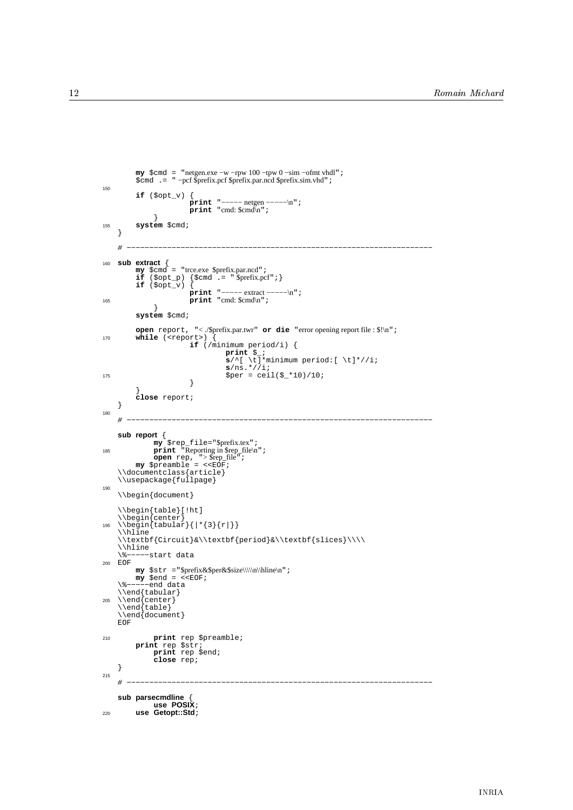```
my $cmd = "netgen.exe –w –rpw 100 –tpw 0 –sim –ofmt vhdl";<br>$cmd .= " –pcf $prefix.pcf $prefix.par.ncd $prefix.sim.vhd";
150
            if ($opt_v) {
                             print "----- netgen -----\n";
                             print "cmd: $cmd\n";
                 }
155 system $cmd;
     }
     # −−−−−−−−−−−−−−−−−−−−−−−−−−−−−−−−−−−−−−−−−−−−−−−−−−−−−−−−−−−−−−−−−−−−
160 sub extract {<br>
my $cmd = "trce.exe $prefix.par.ncd";<br>
if ($opt_v) {<br>
if ($opt_v) {
print "−−−−− extract −−−−−\n";<br>
print "cmd: $cmd\n";
                 }
            system $cmd;
            open report, "< ./$prefix.par.twr" or die "error opening report file : $!\n";
170 while (<report>) {
                             if (/minimum period/i) {
                                         print $_;
s/^[ \t]*minimum period:[ \t]*//i;
s/ns.*//i;
\text{Sper} = \text{ceil}(\xi_{1} * 10) / 10;}
      }
            close report;
     }
180
     # −−−−−−−−−−−−−−−−−−−−−−−−−−−−−−−−−−−−−−−−−−−−−−−−−−−−−−−−−−−−−−−−−−−−
sub report {<br>
my $rep_file="$prefix.tex";<br>
print "Reporting in $rep_file\n";<br>
open rep, ">$rep_file";<br>
my $preamble = <<EOF;<br>
\\documentclass{article}
     \\usepackage{fullpage}
190
     \\begin{document}
\\begin{table}[!ht]<br>
\\begin{center}<br>
195 \\begin{tabular}{|*{3}{r|}}<br>
\\hline<br>\\textbf{Circuit}&\\textbf{period}&\\textbf{slices}\\\\
     \\hline
     \%−−−−−start data
200 EOF
      my $str ="$prefix&$per&$size\\\\\n\\hline\n";
 my $end = <<EOF;
\%-----end data<br>\\end{tabular}<br>205 \\end{center}<br>\\end{table}
     \\end{document}
     EOF
210 print rep $preamble; 
            print rep $str;
                 print rep $end;
close rep;
     }
215
     # −−−−−−−−−−−−−−−−−−−−−−−−−−−−−−−−−−−−−−−−−−−−−−−−−−−−−−−−−−−−−−−−−−−−
     sub parsecmdline {
                use POSIX;
220 use Getopt::Std;
```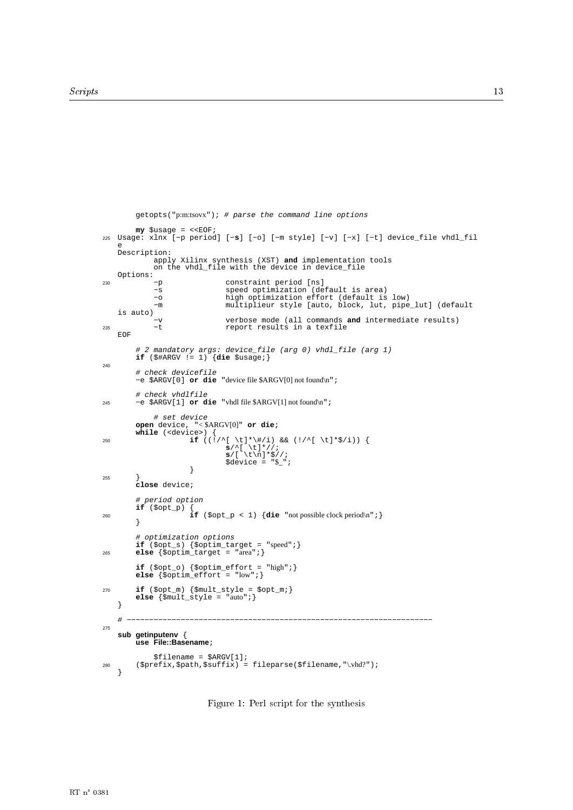```
 getopts("p:m:tsovx"); # parse the command line options
          my $usage = <<EOF;
225 Usage: xlnx [−p period] [−s] [−o] [−m style] [−v] [−x] [−t] device_file vhdl_fil
    e
Description:
               apply Xilinx synthesis (XST) and implementation tools 
on the vhdl_file with the device in device_file
    Options:
230 −p constraint period [ns]
−s speed optimization (default is area)
               −o high optimization effort (default is low)
−m multiplieur style [auto, block, lut, pipe_lut] (default 
    is auto)<br>-v−v verbose mode (all commands and intermediate results)
235 −t report results in a texfile
    EOF
     # 2 mandatory args: device_file (arg 0) vhdl_file (arg 1)
 if ($#ARGV != 1) {die $usage;}
240
          # check devicefile
           −e $ARGV[0] or die "device file $ARGV[0] not found\n";
          # check vhdlfile
245 −e $ARGV[1] or die "vhdl file $ARGV[1] not found\n";
              # set device
          open device, "< $ARGV[0]" or die;
         while (<device>)
250 if ((!/^[ \t]*\#/i) && (!/^[ \t]*$/i)) {
                                   s/^[ \t]*//;<br>s/[ \t\n]*$//;<br>$device = "$_";
                         }
255 }
          close device;
          # period option
if ($opt_p) {<br>
if ($opt_p < 1) {die "not possible clock period\n"; }
          # optimization options
 if ($opt_s) {$optim_target = "speed";}
265 else {$optim_target = "area";}
     if ($opt_o) {$optim_effort = "high";}
 else {$optim_effort = "low";}
270 if ($opt_m) {$mult_style = $opt_m;}
 else {$mult_style = "auto";}
    }
    # −−−−−−−−−−−−−−−−−−−−−−−−−−−−−−−−−−−−−−−−−−−−−−−−−−−−−−−−−−−−−−−−−−−−
275
    sub getinputenv {
 use File::Basename;
$filename = $ARGV[1];<br>280 ($prefix,$path,$suffix) = fileparse($filename,"\.vhd?");
    }
```
Figure 1: Perl script for the synthesis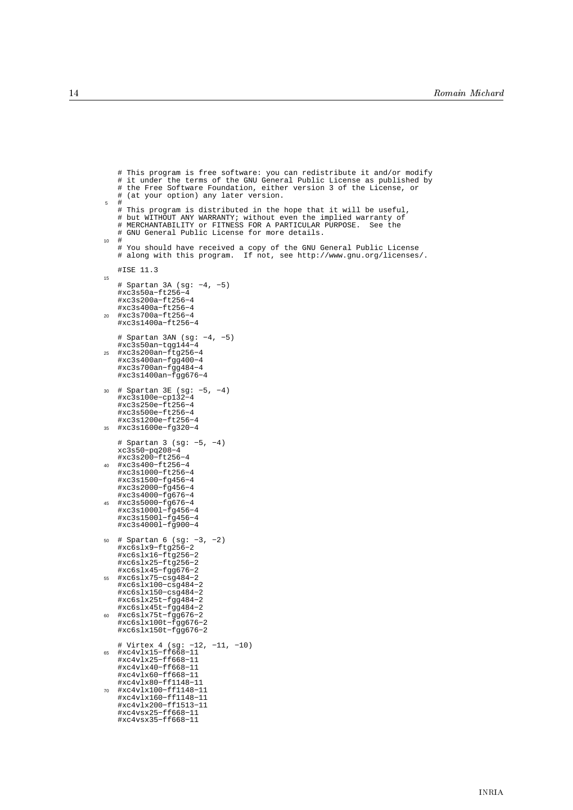```
# This program is free software: you can redistribute it and/or modify
    # it under the terms of the GNU General Public License as published by
    # the Free Software Foundation, either version 3 of the License, or
# (at your option) any later version.
5 #
# This program is distributed in the hope that it will be useful,
# but WITHOUT ANY WARRANTY; without even the implied warranty of
    # MERCHANTABILITY or FITNESS FOR A PARTICULAR PURPOSE. See the
# GNU General Public License for more details.
    10 #
    # You should have received a copy of the GNU General Public License
    # along with this program. If not, see http://www.gnu.org/licenses/.
   #ISE 11.3
15
    # Spartan 3A (sg: −4, −5)
#xc3s50a−ft256−4
    #xc3s200a−ft256−4
    #xc3s400a−ft256−4
20 #xc3s700a−ft256−4
    #xc3s1400a−ft256−4
    # Spartan 3AN (sg: −4, −5)
#xc3s50an−tqg144−4
25 #xc3s200an−ftg256−4
    #xc3s400an−fgg400−4
    #xc3s700an−fgg484−4
    #xc3s1400an−fgg676−4
30 # Spartan 3E (sg: −5, −4)
    #xc3s100e−cp132−4
    #xc3s250e−ft256−4
    #xc3s500e−ft256−4
#xc3s1200e−ft256−4
35 #xc3s1600e−fg320−4
    # Spartan 3 (sg: −5, −4)
   xc3s50−pq208−4
    #xc3s200−ft256−4
40 #xc3s400−ft256−4
    #xc3s1000−ft256−4
    #xc3s1500−fg456−4
    #xc3s2000−fg456−4
    #xc3s4000−fg676−4
45 #xc3s5000−fg676−4
    #xc3s1000l−fg456−4
    #xc3s1500l−fg456−4
#xc3s4000l−fg900−4
50 # Spartan 6 (sg: −3, −2)
    #xc6slx9−ftg256−2
    #xc6slx16−ftg256−2
    #xc6slx25−ftg256−2
    #xc6slx45−fgg676−2
    55 #xc6slx75−csg484−2
    #xc6slx100−csg484−2
    #xc6slx150−csg484−2
    #xc6slx25t−fgg484−2
    #xc6slx45t−fgg484−2
60 #xc6slx75t−fgg676−2
    #xc6slx100t−fgg676−2
#xc6slx150t−fgg676−2
    # Virtex 4 (sg: −12, −11, −10)
65 #xc4vlx15−ff668−11
#xc4vlx25−ff668−11
    #xc4vlx40−ff668−11
    #xc4vlx60−ff668−11
    #xc4vlx80−ff1148−11
70 #xc4vlx100−ff1148−11
    #xc4vlx160−ff1148−11
    #xc4vlx200−ff1513−11
    #xc4vsx25−ff668−11
    #xc4vsx35−ff668−11
```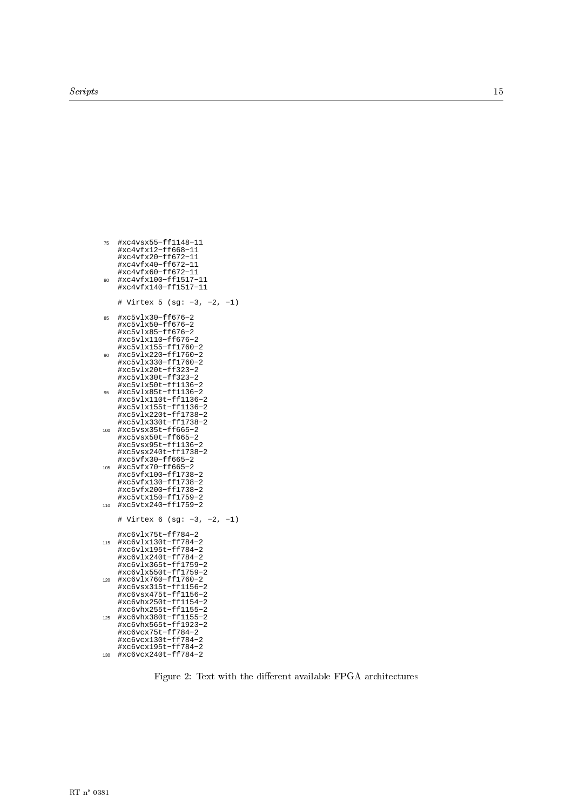<sup>75</sup> #xc4vsx55−ff1148−11 #xc4vfx12−ff668−11 #xc4vfx20−ff672−11 #xc4vfx40−ff672−11 #xc4vfx60−ff672−11 <sup>80</sup> #xc4vfx100−ff1517−11 #xc4vfx140−ff1517−11 # Virtex 5 (sg: −3, −2, −1) <sup>85</sup> #xc5vlx30−ff676−2 #xc5vlx50−ff676−2 #xc5vlx85−ff676−2 #xc5vlx110−ff676−2 #xc5vlx155−ff1760−2 <sup>90</sup> #xc5vlx220−ff1760−2 #xc5vlx330−ff1760−2 #xc5vlx20t−ff323−2 #xc5vlx30t−ff323−2 #xc5vlx50t−ff1136−2 <sup>95</sup> #xc5vlx85t−ff1136−2 #xc5vlx110t−ff1136−2 #xc5vlx155t−ff1136−2 #xc5vlx220t−ff1738−2 #xc5vlx330t−ff1738−2 <sup>100</sup> #xc5vsx35t−ff665−2 #xc5vsx50t−ff665−2 #xc5vsx95t−ff1136−2 #xc5vsx240t−ff1738−2 #xc5vfx30−ff665−2 <sup>105</sup> #xc5vfx70−ff665−2 #xc5vfx100−ff1738−2 #xc5vfx130−ff1738−2 #xc5vfx200−ff1738−2 #xc5vtx150−ff1759−2 <sup>110</sup> #xc5vtx240−ff1759−2 # Virtex 6 (sg: −3, −2, −1) #xc6vlx75t−ff784−2 <sup>115</sup> #xc6vlx130t−ff784−2 #xc6vlx195t−ff784−2 #xc6vlx240t−ff784−2 #xc6vlx365t−ff1759−2 #xc6vlx550t−ff1759−2 <sup>120</sup> #xc6vlx760−ff1760−2 #xc6vsx315t−ff1156−2 #xc6vsx475t−ff1156−2 #xc6vhx250t−ff1154−2 #xc6vhx255t−ff1155−2 <sup>125</sup> #xc6vhx380t−ff1155−2 #xc6vhx565t−ff1923−2 #xc6vcx75t−ff784−2 #xc6vcx130t−ff784−2 #xc6vcx195t−ff784−2 <sup>130</sup> #xc6vcx240t−ff784−2

Figure 2: Text with the different available FPGA architectures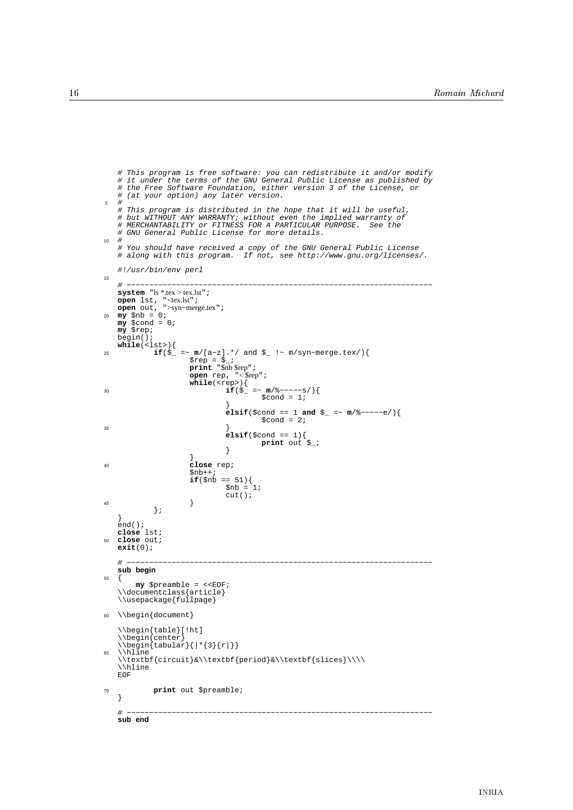```
# This program is free software: you can redistribute it and/or modify
    # it under the terms of the GNU General Public License as published by
    # the Free Software Foundation, either version 3 of the License, or
# (at your option) any later version.
# This program is distributed in the hope that it will be useful,<br># Dut WITHOUT ANY WARRANTY; without even the implied warranty of<br># MERCHANTABILITY or FITNESS FOR A PARTICULAR PURPOSE. See the<br># GNU General Public License
    \ddot{t}# You should have received a copy of the GNU General Public License
# along with this program. If not, see http://www.gnu.org/licenses/.
    #!/usr/bin/env perl
15
    # --------------------<br>system "ls *.tex > tex.lst";
system "ls *.tex > tex.lst";<br>
open lst, "<tex.lst";<br>
open out, ">syn-merge.tex";<br>
20 my $nb = 0;<br>
my $cond = 0;<br>
my $rep;
    begin{bmatrix} 1 \\ 0 \end{bmatrix}while(<lst>){<br>if($
25 if($_ =~ m/[a−z].*/ and $_ !~ m/syn−merge.tex/){
                           $rep = $_;
print "$nb $rep";
                           open rep, "< $rep";
                           while(<-rep>)30 if($_ =~ m/%-----s/){<br>$cond = 1;
                                       }
elsif($cond == 1 and $_ =~ m/%−−−−−e/){
                                                 \text{Scond} = 2i35 }
                                       elsif($cond == 1){
print out $_;
                                      }
}
40 close rep;
                           \sh++;if(\$nb == 51)\}$nb = 1;cut();
45 }
               };
    }
    end();
    close lst;
50 close out;
    exit(0);
    # −−−−−−−−−−−−−−−−−−−−−−−−−−−−−−−−−−−−−−−−−−−−−−−−−−−−−−−−−−−−−−−−−−−−
    sub begin
55 {
    my $preamble = <<EOF;<br>\\documentclass{article}<br>\\usepackage{fullpage}
60 \\begin{document}
    \\begin{table}[!ht]
\\begin{center}
     \setminusbegin{tabular}{|*{3}{r|}}
65 \\hline
    \\textbf{circuit}&\\textbf{period}&\\textbf{slices}\\\\
    \\hline
    EOF
70 print out $preamble;
    }
    # −−−−−−−−−−−−−−−−−−−−−−−−−−−−−−−−−−−−−−−−−−−−−−−−−−−−−−−−−−−−−−−−−−−−
    sub end
```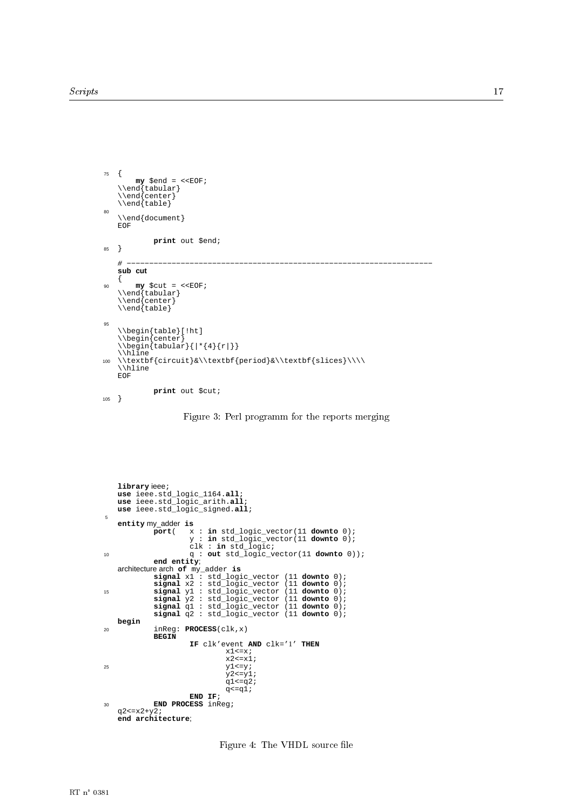```
75 {
         my $end = <EOF;
    \\end{tabular}
\\end{center}
\\end{table}
80
    \\end{document}
    EOF
              print out $end;
85 }
    # −−−−−−−−−−−−−−−−−−−−−−−−−−−−−−−−−−−−−−−−−−−−−−−−−−−−−−−−−−−−−−−−−−−−
    sub cut
    {
\text{sup} \ \text{cut} = \ \text{EOF}; \ \ \text{tabular}\\end{center}
\\end{table}
95
    \\begin{table}[!ht]
\\begin{center}
    \\begin{tabular}{|*{4}{r|}}
    \in100 \\textbf{circuit}&\\textbf{period}&\\textbf{slices}\\\\
    \\hline
    EOF<sup>11</sup>
              print out $cut;
105 }
```


```
library ieee;
     use ieee.std_logic_1164.all;
use ieee.std_logic_arith.all;
use ieee.std_logic_signed.all;
5
    entity my_adder is
                            port( x : in std_logic_vector(11 downto 0);
y : in std_logic_vector(11 downto 0);
clk : in std_logic;
10 q : out std_logic_vector(11 downto 0));
                 end entity;
architecture arch of my_adder is<br>
signal x1 : std_logic_vector (11 downto 0);<br>
signal x2 : std_logic_vector (11 downto 0);<br>
signal y1 : std_logic_vector (11 downto 0);<br>
signal y1 : std_logic_vector (11 downto 0);<br>
signal q
                 signal q2 : std_logic_vector (11 downto 0);
    begin
20 inReg: PROCESS(clk,x)
                 BEGIN
                              IF clk'event AND clk='1' THEN
                                          x1 \leq x;x2 \le x1;25 y1 < = y;y2 < y1;q1 < q2;q < q l iEND IF;
30 END PROCESS inReg;
     q2<=x2+y2;
    end architecture;
```
Figure 4: The VHDL source file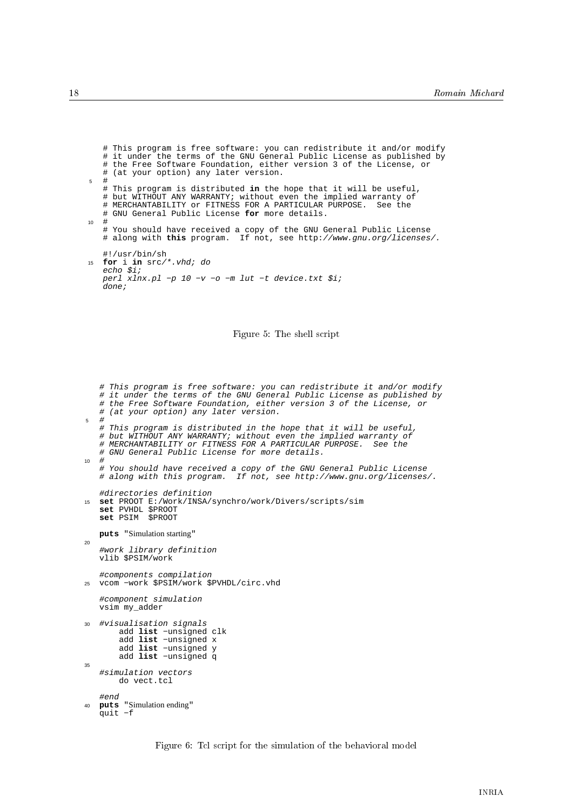# This program is free software: you can redistribute it and/or modify # it under the terms of the GNU General Public License as published by # the Free Software Foundation, either version 3 of the License, or # (at your option) any later version. <sup>5</sup> # # This program is distributed **in** the hope that it will be useful, # but WITHOUT ANY WARRANTY; without even the implied warranty of # MERCHANTABILITY or FITNESS FOR A PARTICULAR PURPOSE. See the # GNU General Public License **for** more details. <sup>10</sup> # # You should have received a copy of the GNU General Public License # along with **this** program. If not, see http://www.gnu.org/licenses/. #!/usr/bin/sh <sup>15</sup> **for** i **in** src/\*.vhd; do echo \$i; perl xlnx.pl −p 10 −v −o −m lut −t device.txt \$i; done; Figure 5: The shell script # This program is free software: you can redistribute it and/or modify # it under the terms of the GNU General Public License as published by # the Free Software Foundation, either version 3 of the License, or # (at your option) any later version. <sup>5</sup> # # This program is distributed in the hope that it will be useful, # but WITHOUT ANY WARRANTY; without even the implied warranty of # MERCHANTABILITY or FITNESS FOR A PARTICULAR PURPOSE. See the # GNU General Public License for more details. <sup>10</sup> # # You should have received a copy of the GNU General Public License # along with this program. If not, see http://www.gnu.org/licenses/. #directories definition <sup>15</sup> **set** PROOT E:/Work/INSA/synchro/work/Divers/scripts/sim **set** PVHDL \$PROOT **set** PSIM \$PROOT **puts** "Simulation starting" 20 #work library definition vlib \$PSIM/work #components compilation <sup>25</sup> vcom −work \$PSIM/work \$PVHDL/circ.vhd #component simulation vsim my\_adder <sup>30</sup> #visualisation signals add **list** −unsigned clk add **list** −unsigned x add **list** −unsigned y add **list** −unsigned q <sup>35</sup> #simulation vectors do vect.tcl #end <sup>40</sup> **puts** "Simulation ending" quit −f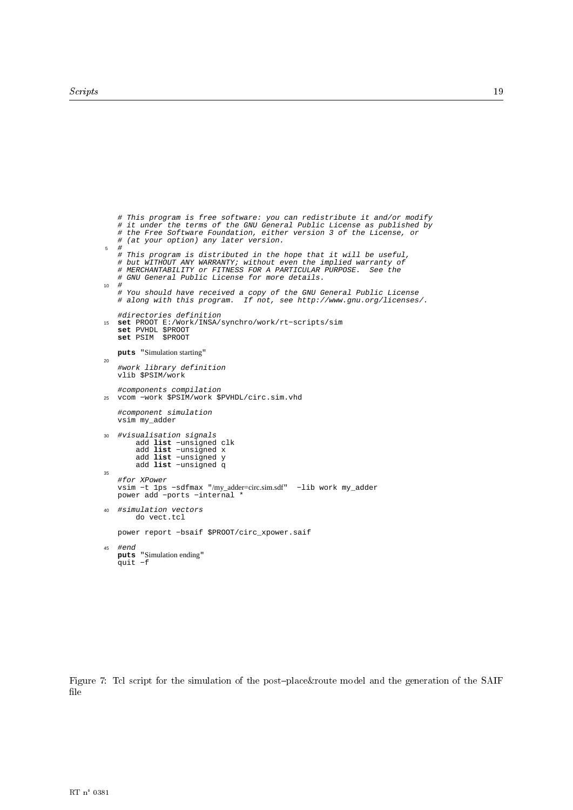#### Scripts that the set of the set of the set of the set of the set of the set of the set of the set of the set of the set of the set of the set of the set of the set of the set of the set of the set of the set of the set of

```
# This program is free software: you can redistribute it and/or modify
    # it under the terms of the GNU General Public License as published by
# the Free Software Foundation, either version 3 of the License, or
# (at your option) any later version.
5 #
    # This program is distributed in the hope that it will be useful,
# but WITHOUT ANY WARRANTY; without even the implied warranty of
    # MERCHANTABILITY or FITNESS FOR A PARTICULAR PURPOSE. See the
    # GNU General Public License for more details.
10 \frac{4}{7}# You should have received a copy of the GNU General Public License
# along with this program. If not, see http://www.gnu.org/licenses/.
    #directories definition
15 set PROOT E:/Work/INSA/synchro/work/rt−scripts/sim
    set PVHDL $PROOT
set PSIM $PROOT
   puts "Simulation starting"
20
    #work library definition
    vlib $PSIM/work
    #components compilation
25 vcom −work $PSIM/work $PVHDL/circ.sim.vhd
    #component simulation
    vsim my_adder
30 #visualisation signals
     add list −unsigned clk
 add list −unsigned x
     add list −unsigned y
 add list −unsigned q
35 
    #for XPower
    vsim −t 1ps −sdfmax "/my_adder=circ.sim.sdf" −lib work my_adder
   power add −ports −internal *
   #simulation vectors
          do vect.tcl
   power report −bsaif $PROOT/circ_xpower.saif

45 #end
   puts "Simulation ending"
    quit −f
```
Figure 7: Tcl script for the simulation of the post-place&route model and the generation of the SAIF file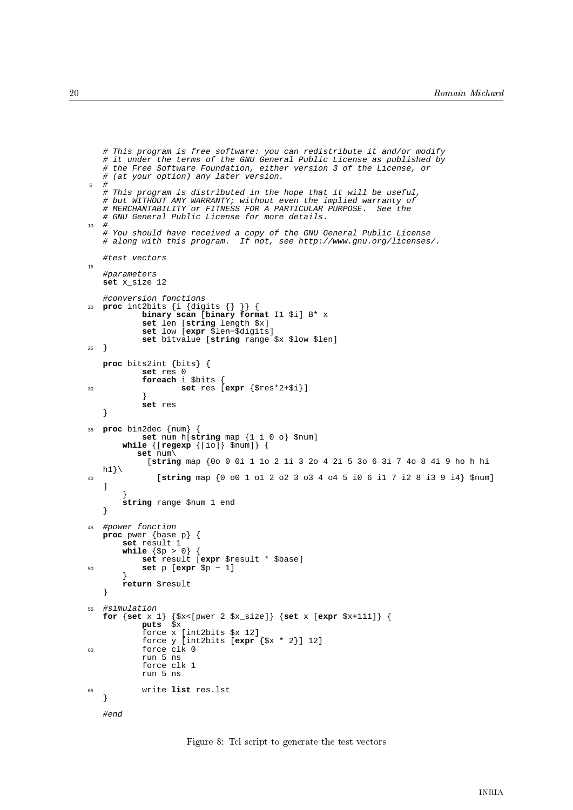```
# it under the terms of the GNU General Public License as published by
   # the Free Software Foundation, either version 3 of the License, or
   # (at your option) any later version.
5 + 4# This program is distributed in the hope that it will be useful,
   # but WITHOUT ANY WARRANTY; without even the implied warranty of
   # MERCHANTABILITY or FITNESS FOR A PARTICULAR PURPOSE. See the
   " Announant Liberal Public License for more details.<br># GNU General Public License for more details.<br>#
10 #
   # You should have received a copy of the GNU General Public License
   # along with this program. If not, see http://www.gnu.org/licenses/.
   #test vectors
15
   #parameters
   set x_size 12
   #conversion fonctions
20 proc int2bits {i {digits {} }} {
           binary scan [binary format I1 $i] B* x
            set len [string length $x]
           set low [expr $len−$digits]
           set bitvalue [string range $x $low $len]
25 }
   proc bits2int {bits} {
           set res 0
           foreach i $bits
30 set res [expr {$res*2+$i}]
           }
           set res
   }
35 proc bin2dec {num} {
           set num h[string map {1 i 0 o} $num]
    while {[regexp {[io]} $num]} {
           set num\
             [string map {0o 0 0i 1 1o 2 1i 3 2o 4 2i 5 3o 6 3i 7 4o 8 4i 9 ho h hi 
  h140 [string map {0 o0 1 o1 2 o2 3 o3 4 o4 5 i0 6 i1 7 i2 8 i3 9 i4} $num]
   ]
    }
        string range $num 1 end
   }
45 #power fonction 
   proc pwer {base p} {
        set result 1
        while {$p > 0} {
            set result [expr $result * $base]
50 set p [expr $p − 1]
    }
        return $result
   }
55 #simulation
   for {set x 1} {$x<[pwer 2 $x_size]} {set x [expr $x+111]} {
           puts $x
           force x [int2bits $x 12]
           force y [int2bits [expr {$x * 2}] 12]
60 force clk 0
           run 5 ns
           force clk 1
           run 5 ns
65 write list res.lst
   }
   #end
```
# This program is free software: you can redistribute it and/or modify